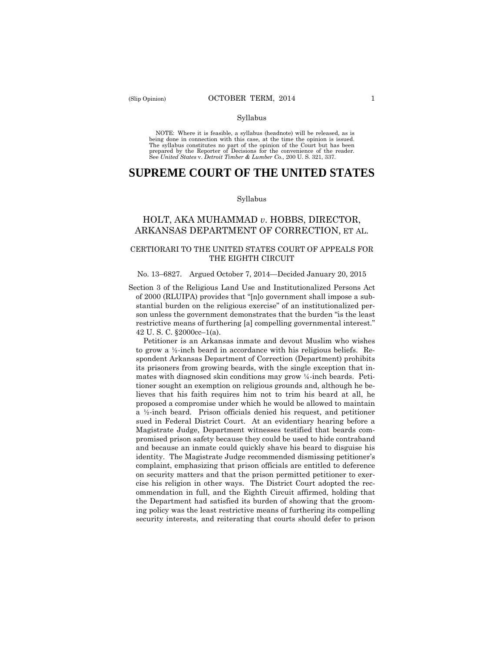#### Syllabus

 NOTE: Where it is feasible, a syllabus (headnote) will be released, as is being done in connection with this case, at the time the opinion is issued. The syllabus constitutes no part of the opinion of the Court but has been<br>prepared by the Reporter of Decisions for the convenience of the reader.<br>See United States v. Detroit Timber & Lumber Co., 200 U.S. 321, 337.

# **SUPREME COURT OF THE UNITED STATES**

#### Syllabus

## HOLT, AKA MUHAMMAD *v*. HOBBS, DIRECTOR, ARKANSAS DEPARTMENT OF CORRECTION, ET AL.

### CERTIORARI TO THE UNITED STATES COURT OF APPEALS FOR THE EIGHTH CIRCUIT

#### No. 13–6827. Argued October 7, 2014—Decided January 20, 2015

Section 3 of the Religious Land Use and Institutionalized Persons Act of 2000 (RLUIPA) provides that "[n]o government shall impose a substantial burden on the religious exercise" of an institutionalized person unless the government demonstrates that the burden "is the least restrictive means of furthering [a] compelling governmental interest." 42 U. S. C. §2000cc–1(a).

 sued in Federal District Court. At an evidentiary hearing before a Petitioner is an Arkansas inmate and devout Muslim who wishes to grow a ½-inch beard in accordance with his religious beliefs. Respondent Arkansas Department of Correction (Department) prohibits its prisoners from growing beards, with the single exception that inmates with diagnosed skin conditions may grow ¼-inch beards. Petitioner sought an exemption on religious grounds and, although he believes that his faith requires him not to trim his beard at all, he proposed a compromise under which he would be allowed to maintain a ½-inch beard. Prison officials denied his request, and petitioner Magistrate Judge, Department witnesses testified that beards compromised prison safety because they could be used to hide contraband and because an inmate could quickly shave his beard to disguise his identity. The Magistrate Judge recommended dismissing petitioner's complaint, emphasizing that prison officials are entitled to deference on security matters and that the prison permitted petitioner to exercise his religion in other ways. The District Court adopted the recommendation in full, and the Eighth Circuit affirmed, holding that the Department had satisfied its burden of showing that the grooming policy was the least restrictive means of furthering its compelling security interests, and reiterating that courts should defer to prison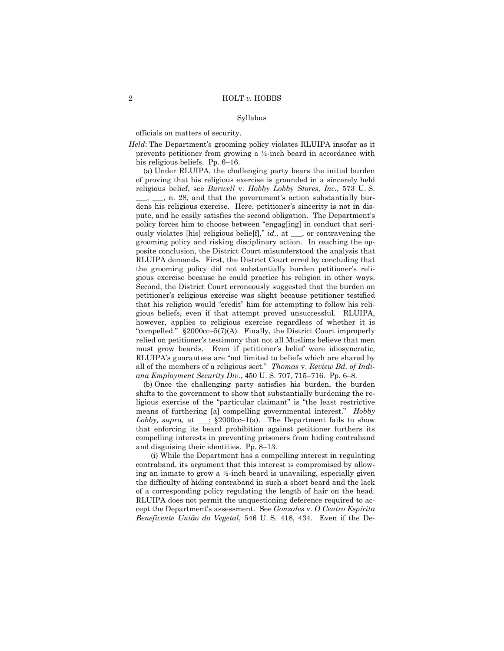#### Syllabus

officials on matters of security.

*Held*: The Department's grooming policy violates RLUIPA insofar as it prevents petitioner from growing a ½-inch beard in accordance with his religious beliefs. Pp. 6–16.

(a) Under RLUIPA, the challenging party bears the initial burden of proving that his religious exercise is grounded in a sincerely held religious belief, see *Burwell* v. *Hobby Lobby Stores, Inc.*, 573 U. S.  $_$ , n. 28, and that the government's action substantially burdens his religious exercise. Here, petitioner's sincerity is not in dispute, and he easily satisfies the second obligation. The Department's policy forces him to choose between "engag[ing] in conduct that seriously violates [his] religious belie[f]," *id.,* at \_\_\_, or contravening the grooming policy and risking disciplinary action. In reaching the opposite conclusion, the District Court misunderstood the analysis that RLUIPA demands. First, the District Court erred by concluding that the grooming policy did not substantially burden petitioner's religious exercise because he could practice his religion in other ways. Second, the District Court erroneously suggested that the burden on petitioner's religious exercise was slight because petitioner testified that his religion would "credit" him for attempting to follow his religious beliefs, even if that attempt proved unsuccessful. RLUIPA, however, applies to religious exercise regardless of whether it is "compelled." §2000cc–5(7)(A). Finally, the District Court improperly relied on petitioner's testimony that not all Muslims believe that men must grow beards. Even if petitioner's belief were idiosyncratic, RLUIPA's guarantees are "not limited to beliefs which are shared by all of the members of a religious sect." *Thomas* v. *Review Bd. of Indiana Employment Security Div.*, 450 U. S. 707, 715–716. Pp. 6–8.

(b) Once the challenging party satisfies his burden, the burden shifts to the government to show that substantially burdening the religious exercise of the "particular claimant" is "the least restrictive means of furthering [a] compelling governmental interest." *Hobby Lobby, supra,* at \_\_\_; §2000cc–1(a). The Department fails to show that enforcing its beard prohibition against petitioner furthers its compelling interests in preventing prisoners from hiding contraband and disguising their identities. Pp. 8–13.

(i) While the Department has a compelling interest in regulating contraband, its argument that this interest is compromised by allowing an inmate to grow a ½-inch beard is unavailing, especially given the difficulty of hiding contraband in such a short beard and the lack of a corresponding policy regulating the length of hair on the head. RLUIPA does not permit the unquestioning deference required to accept the Department's assessment. See *Gonzales* v. *O Centro Espírita Beneficente União do Vegetal*, 546 U. S. 418, 434. Even if the De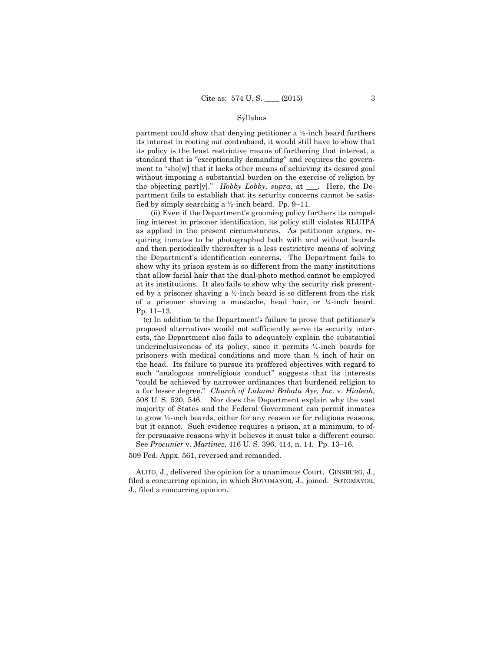#### Syllabus

partment could show that denying petitioner a ½-inch beard furthers its interest in rooting out contraband, it would still have to show that its policy is the least restrictive means of furthering that interest, a standard that is "exceptionally demanding" and requires the government to "sho[w] that it lacks other means of achieving its desired goal without imposing a substantial burden on the exercise of religion by the objecting part[y]." *Hobby Lobby, supra,* at \_\_\_. Here, the Department fails to establish that its security concerns cannot be satisfied by simply searching a  $\frac{1}{2}$ -inch beard. Pp. 9–11.

(ii) Even if the Department's grooming policy furthers its compelling interest in prisoner identification, its policy still violates RLUIPA as applied in the present circumstances. As petitioner argues, requiring inmates to be photographed both with and without beards and then periodically thereafter is a less restrictive means of solving the Department's identification concerns. The Department fails to show why its prison system is so different from the many institutions that allow facial hair that the dual-photo method cannot be employed at its institutions. It also fails to show why the security risk presented by a prisoner shaving a ½-inch beard is so different from the risk of a prisoner shaving a mustache, head hair, or ¼-inch beard. Pp. 11–13.

 a far lesser degree." *Church of Lukumi Babalu Aye, Inc.* v. *Hialeah*, (c) In addition to the Department's failure to prove that petitioner's proposed alternatives would not sufficiently serve its security interests, the Department also fails to adequately explain the substantial underinclusiveness of its policy, since it permits  $\frac{1}{4}$ -inch beards for prisoners with medical conditions and more than ½ inch of hair on the head. Its failure to pursue its proffered objectives with regard to such "analogous nonreligious conduct" suggests that its interests "could be achieved by narrower ordinances that burdened religion to 508 U. S. 520, 546. Nor does the Department explain why the vast majority of States and the Federal Government can permit inmates to grow ½-inch beards, either for any reason or for religious reasons, but it cannot. Such evidence requires a prison, at a minimum, to offer persuasive reasons why it believes it must take a different course. See *Procunier* v. *Martinez*, 416 U. S. 396, 414, n. 14. Pp. 13–16.

509 Fed. Appx. 561, reversed and remanded.

ALITO, J., delivered the opinion for a unanimous Court. GINSBURG, J., filed a concurring opinion, in which SOTOMAYOR, J., joined. SOTOMAYOR, J., filed a concurring opinion.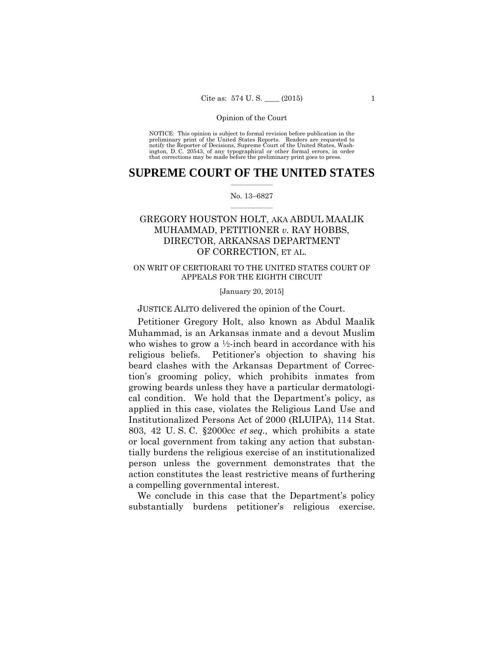preliminary print of the United States Reports. Readers are requested to notify the Reporter of Decisions, Supreme Court of the United States, Wash- ington, D. C. 20543, of any typographical or other formal errors, in order that corrections may be made before the preliminary print goes to press. NOTICE: This opinion is subject to formal revision before publication in the

### $\frac{1}{2}$  ,  $\frac{1}{2}$  ,  $\frac{1}{2}$  ,  $\frac{1}{2}$  ,  $\frac{1}{2}$  ,  $\frac{1}{2}$  ,  $\frac{1}{2}$ **SUPREME COURT OF THE UNITED STATES**

### $\frac{1}{2}$  ,  $\frac{1}{2}$  ,  $\frac{1}{2}$  ,  $\frac{1}{2}$  ,  $\frac{1}{2}$  ,  $\frac{1}{2}$ No. 13–6827

# GREGORY HOUSTON HOLT, AKA ABDUL MAALIK MUHAMMAD, PETITIONER *v.* RAY HOBBS, DIRECTOR, ARKANSAS DEPARTMENT OF CORRECTION, ET AL.

### ON WRIT OF CERTIORARI TO THE UNITED STATES COURT OF APPEALS FOR THE EIGHTH CIRCUIT

### [January 20, 2015]

JUSTICE ALITO delivered the opinion of the Court.

Petitioner Gregory Holt, also known as Abdul Maalik Muhammad, is an Arkansas inmate and a devout Muslim who wishes to grow a  $\frac{1}{2}$ -inch beard in accordance with his religious beliefs. Petitioner's objection to shaving his beard clashes with the Arkansas Department of Correction's grooming policy, which prohibits inmates from growing beards unless they have a particular dermatological condition. We hold that the Department's policy, as applied in this case, violates the Religious Land Use and Institutionalized Persons Act of 2000 (RLUIPA), 114 Stat. 803, 42 U. S. C. §2000cc *et seq.,* which prohibits a state or local government from taking any action that substantially burdens the religious exercise of an institutionalized person unless the government demonstrates that the action constitutes the least restrictive means of furthering a compelling governmental interest.

We conclude in this case that the Department's policy substantially burdens petitioner's religious exercise.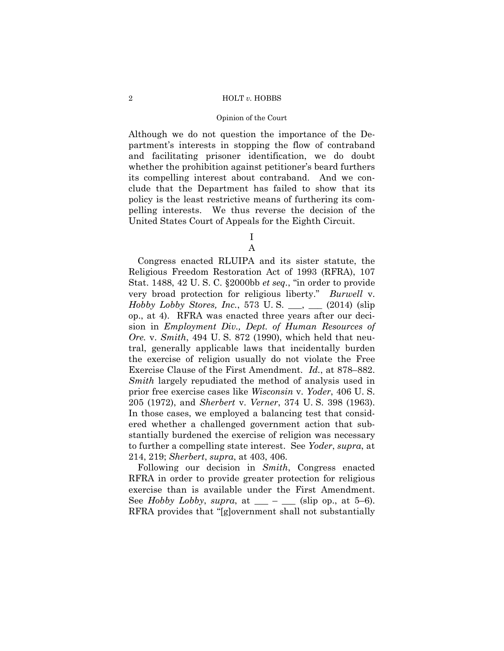#### Opinion of the Court

Although we do not question the importance of the Department's interests in stopping the flow of contraband and facilitating prisoner identification, we do doubt whether the prohibition against petitioner's beard furthers its compelling interest about contraband. And we conclude that the Department has failed to show that its policy is the least restrictive means of furthering its compelling interests. We thus reverse the decision of the United States Court of Appeals for the Eighth Circuit.

I

A

Congress enacted RLUIPA and its sister statute, the Religious Freedom Restoration Act of 1993 (RFRA), 107 Stat. 1488, 42 U. S. C. §2000bb *et seq.*, "in order to provide very broad protection for religious liberty." *Burwell* v. *Hobby Lobby Stores, Inc.*, 573 U.S. \_\_, \_\_ (2014) (slip op., at 4). RFRA was enacted three years after our decision in *Employment Div., Dept. of Human Resources of Ore.* v. *Smith*, 494 U. S. 872 (1990), which held that neutral, generally applicable laws that incidentally burden the exercise of religion usually do not violate the Free Exercise Clause of the First Amendment. *Id.*, at 878–882. *Smith* largely repudiated the method of analysis used in prior free exercise cases like *Wisconsin* v. *Yoder*, 406 U. S. 205 (1972), and *Sherbert* v. *Verner*, 374 U. S. 398 (1963). In those cases, we employed a balancing test that considered whether a challenged government action that substantially burdened the exercise of religion was necessary to further a compelling state interest. See *Yoder*, *supra*, at 214, 219; *Sherbert*, *supra*, at 403, 406.

Following our decision in *Smith*, Congress enacted RFRA in order to provide greater protection for religious exercise than is available under the First Amendment.<br>See *Hobby Lobby*, *supra*, at  $\underline{\hspace{1cm}}$  –  $\underline{\hspace{1cm}}$  (slip op., at 5–6). RFRA provides that "[g]overnment shall not substantially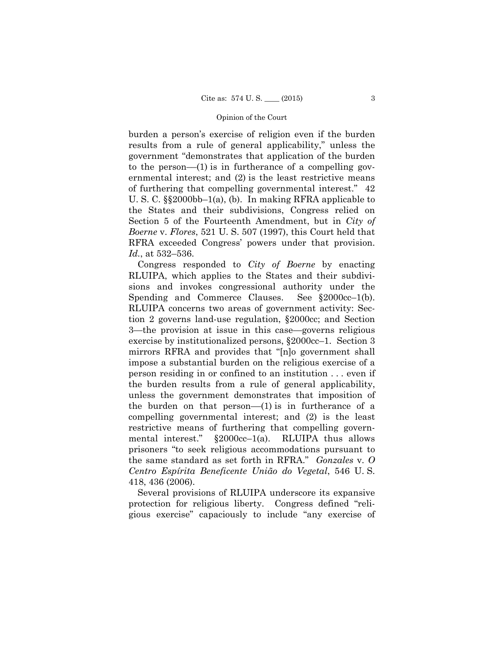burden a person's exercise of religion even if the burden results from a rule of general applicability," unless the government "demonstrates that application of the burden to the person—(1) is in furtherance of a compelling governmental interest; and (2) is the least restrictive means of furthering that compelling governmental interest." 42 U. S. C. §§2000bb–1(a), (b). In making RFRA applicable to the States and their subdivisions, Congress relied on Section 5 of the Fourteenth Amendment, but in *City of Boerne* v. *Flores*, 521 U. S. 507 (1997), this Court held that RFRA exceeded Congress' powers under that provision. *Id.*, at 532–536.

See  $$2000cc-1(b).$ Congress responded to *City of Boerne* by enacting RLUIPA, which applies to the States and their subdivisions and invokes congressional authority under the Spending and Commerce Clauses. RLUIPA concerns two areas of government activity: Section 2 governs land-use regulation, §2000cc; and Section 3—the provision at issue in this case—governs religious exercise by institutionalized persons, §2000cc–1. Section 3 mirrors RFRA and provides that "[n]o government shall impose a substantial burden on the religious exercise of a person residing in or confined to an institution . . . even if the burden results from a rule of general applicability, unless the government demonstrates that imposition of the burden on that person— $(1)$  is in furtherance of a compelling governmental interest; and (2) is the least restrictive means of furthering that compelling governmental interest." §2000cc-1(a). RLUIPA thus allows prisoners "to seek religious accommodations pursuant to the same standard as set forth in RFRA." *Gonzales* v. *O Centro Espírita Beneficente União do Vegetal*, 546 U. S. 418, 436 (2006).

Several provisions of RLUIPA underscore its expansive protection for religious liberty. Congress defined "religious exercise" capaciously to include "any exercise of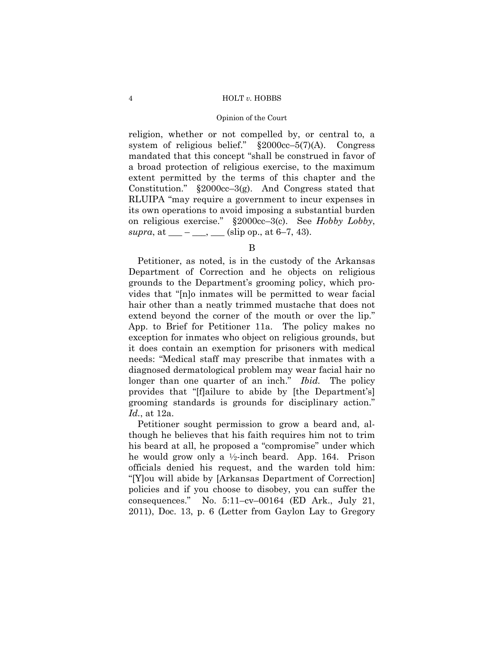### Opinion of the Court

religion, whether or not compelled by, or central to, a system of religious belief." §2000cc–5(7)(A). Congress mandated that this concept "shall be construed in favor of a broad protection of religious exercise, to the maximum extent permitted by the terms of this chapter and the Constitution." §2000cc–3(g). And Congress stated that RLUIPA "may require a government to incur expenses in its own operations to avoid imposing a substantial burden on religious exercise." §2000cc–3(c). See *Hobby Lobby*,  $supra$ , at  $\underline{\hspace{1cm}}$  –  $\underline{\hspace{1cm}}$ ,  $\underline{\hspace{1cm}}$  (slip op., at 6–7, 43).

B

Petitioner, as noted, is in the custody of the Arkansas Department of Correction and he objects on religious grounds to the Department's grooming policy, which provides that "[n]o inmates will be permitted to wear facial hair other than a neatly trimmed mustache that does not extend beyond the corner of the mouth or over the lip." App. to Brief for Petitioner 11a. The policy makes no exception for inmates who object on religious grounds, but it does contain an exemption for prisoners with medical needs: "Medical staff may prescribe that inmates with a diagnosed dermatological problem may wear facial hair no longer than one quarter of an inch." *Ibid.* The policy provides that "[f]ailure to abide by [the Department's] grooming standards is grounds for disciplinary action." *Id.*, at 12a.

Petitioner sought permission to grow a beard and, although he believes that his faith requires him not to trim his beard at all, he proposed a "compromise" under which he would grow only a 1⁄2-inch beard. App. 164. Prison officials denied his request, and the warden told him: "[Y]ou will abide by [Arkansas Department of Correction] policies and if you choose to disobey, you can suffer the consequences." No. 5:11–cv–00164 (ED Ark., July 21, 2011), Doc. 13, p. 6 (Letter from Gaylon Lay to Gregory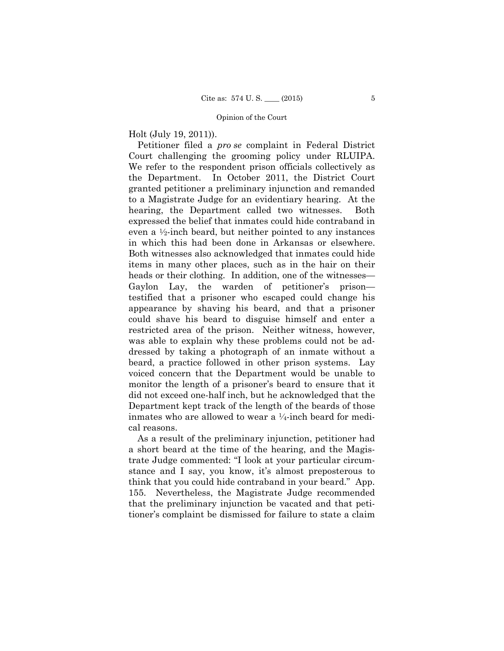Holt (July 19, 2011)).

Petitioner filed a *pro se* complaint in Federal District Court challenging the grooming policy under RLUIPA. We refer to the respondent prison officials collectively as the Department. In October 2011, the District Court granted petitioner a preliminary injunction and remanded to a Magistrate Judge for an evidentiary hearing. At the hearing, the Department called two witnesses. Both expressed the belief that inmates could hide contraband in even a  $\frac{1}{2}$ -inch beard, but neither pointed to any instances in which this had been done in Arkansas or elsewhere. Both witnesses also acknowledged that inmates could hide items in many other places, such as in the hair on their heads or their clothing. In addition, one of the witnesses— Gaylon Lay, the warden of petitioner's prison testified that a prisoner who escaped could change his appearance by shaving his beard, and that a prisoner could shave his beard to disguise himself and enter a restricted area of the prison. Neither witness, however, was able to explain why these problems could not be addressed by taking a photograph of an inmate without a beard, a practice followed in other prison systems. Lay voiced concern that the Department would be unable to monitor the length of a prisoner's beard to ensure that it did not exceed one-half inch, but he acknowledged that the Department kept track of the length of the beards of those inmates who are allowed to wear a  $\frac{1}{4}$ -inch beard for medical reasons.

As a result of the preliminary injunction, petitioner had a short beard at the time of the hearing, and the Magistrate Judge commented: "I look at your particular circumstance and I say, you know, it's almost preposterous to think that you could hide contraband in your beard." App. 155. Nevertheless, the Magistrate Judge recommended that the preliminary injunction be vacated and that petitioner's complaint be dismissed for failure to state a claim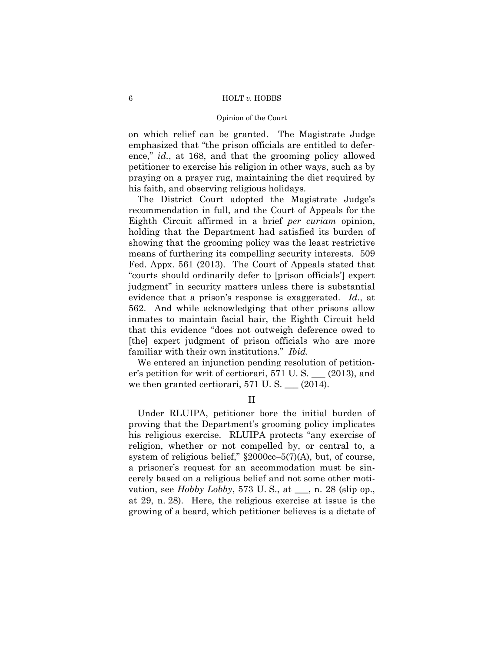on which relief can be granted. The Magistrate Judge emphasized that "the prison officials are entitled to deference," *id.*, at 168, and that the grooming policy allowed petitioner to exercise his religion in other ways, such as by praying on a prayer rug, maintaining the diet required by his faith, and observing religious holidays.

The District Court adopted the Magistrate Judge's recommendation in full, and the Court of Appeals for the Eighth Circuit affirmed in a brief *per curiam* opinion, holding that the Department had satisfied its burden of showing that the grooming policy was the least restrictive means of furthering its compelling security interests. 509 Fed. Appx. 561 (2013). The Court of Appeals stated that "courts should ordinarily defer to [prison officials'] expert judgment" in security matters unless there is substantial evidence that a prison's response is exaggerated. *Id.*, at 562. And while acknowledging that other prisons allow inmates to maintain facial hair, the Eighth Circuit held that this evidence "does not outweigh deference owed to [the] expert judgment of prison officials who are more familiar with their own institutions." *Ibid.* 

We entered an injunction pending resolution of petitioner's petition for writ of certiorari, 571 U. S. \_\_\_ (2013), and we then granted certiorari,  $571$  U. S.  $\_\_$  (2014).

II

Under RLUIPA, petitioner bore the initial burden of proving that the Department's grooming policy implicates his religious exercise. RLUIPA protects "any exercise of religion, whether or not compelled by, or central to, a system of religious belief," §2000cc–5(7)(A), but, of course, a prisoner's request for an accommodation must be sincerely based on a religious belief and not some other motivation, see *Hobby Lobby*, 573 U. S., at \_\_\_, n. 28 (slip op., at 29, n. 28). Here, the religious exercise at issue is the growing of a beard, which petitioner believes is a dictate of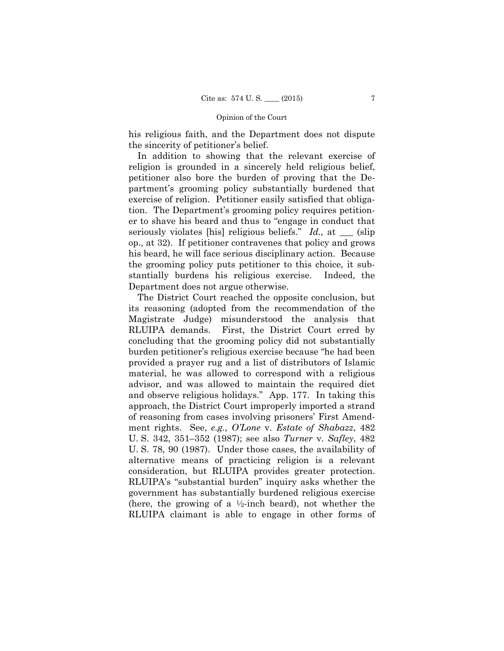his religious faith, and the Department does not dispute the sincerity of petitioner's belief.

In addition to showing that the relevant exercise of religion is grounded in a sincerely held religious belief, petitioner also bore the burden of proving that the Department's grooming policy substantially burdened that exercise of religion. Petitioner easily satisfied that obligation. The Department's grooming policy requires petitioner to shave his beard and thus to "engage in conduct that seriously violates [his] religious beliefs." *Id.*, at \_\_\_ (slip op., at 32). If petitioner contravenes that policy and grows his beard, he will face serious disciplinary action. Because the grooming policy puts petitioner to this choice, it substantially burdens his religious exercise. Indeed, the Department does not argue otherwise.

The District Court reached the opposite conclusion, but its reasoning (adopted from the recommendation of the Magistrate Judge) misunderstood the analysis that RLUIPA demands. First, the District Court erred by concluding that the grooming policy did not substantially burden petitioner's religious exercise because "he had been provided a prayer rug and a list of distributors of Islamic material, he was allowed to correspond with a religious advisor, and was allowed to maintain the required diet and observe religious holidays." App. 177. In taking this approach, the District Court improperly imported a strand of reasoning from cases involving prisoners' First Amendment rights. See, *e.g., O'Lone* v. *Estate of Shabazz*, 482 U. S. 342, 351–352 (1987); see also *Turner* v. *Safley*, 482 U. S. 78, 90 (1987). Under those cases, the availability of alternative means of practicing religion is a relevant consideration, but RLUIPA provides greater protection. RLUIPA's "substantial burden" inquiry asks whether the government has substantially burdened religious exercise (here, the growing of a  $\frac{1}{2}$ -inch beard), not whether the RLUIPA claimant is able to engage in other forms of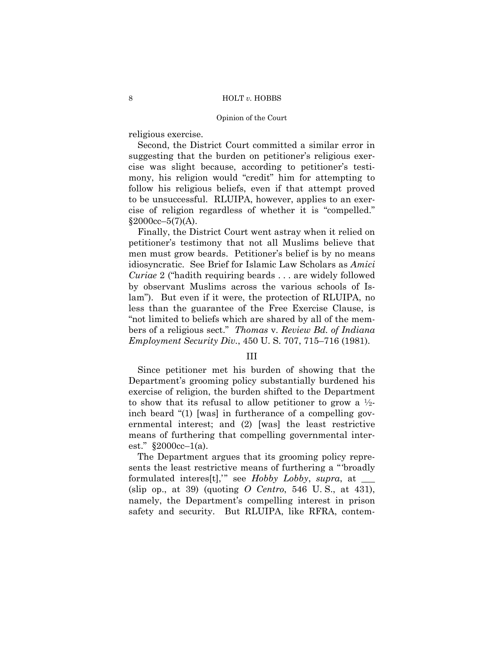religious exercise.

Second, the District Court committed a similar error in suggesting that the burden on petitioner's religious exercise was slight because, according to petitioner's testimony, his religion would "credit" him for attempting to follow his religious beliefs, even if that attempt proved to be unsuccessful. RLUIPA, however, applies to an exercise of religion regardless of whether it is "compelled."  $§2000cc-5(7)(A).$ 

Finally, the District Court went astray when it relied on petitioner's testimony that not all Muslims believe that men must grow beards. Petitioner's belief is by no means idiosyncratic. See Brief for Islamic Law Scholars as *Amici Curiae* 2 ("hadith requiring beards . . . are widely followed by observant Muslims across the various schools of Islam"). But even if it were, the protection of RLUIPA, no less than the guarantee of the Free Exercise Clause, is "not limited to beliefs which are shared by all of the members of a religious sect." *Thomas* v. *Review Bd. of Indiana Employment Security Div.*, 450 U. S. 707, 715–716 (1981).

### III

Since petitioner met his burden of showing that the Department's grooming policy substantially burdened his exercise of religion, the burden shifted to the Department to show that its refusal to allow petitioner to grow a  $\frac{1}{2}$ inch beard "(1) [was] in furtherance of a compelling governmental interest; and (2) [was] the least restrictive means of furthering that compelling governmental interest."  $§2000cc-1(a)$ .

The Department argues that its grooming policy represents the least restrictive means of furthering a "'broadly formulated interes[t],'" see *Hobby Lobby*, *supra*, at \_\_\_ (slip op., at 39) (quoting *O Centro*, 546 U. S., at 431), namely, the Department's compelling interest in prison safety and security. But RLUIPA, like RFRA, contem-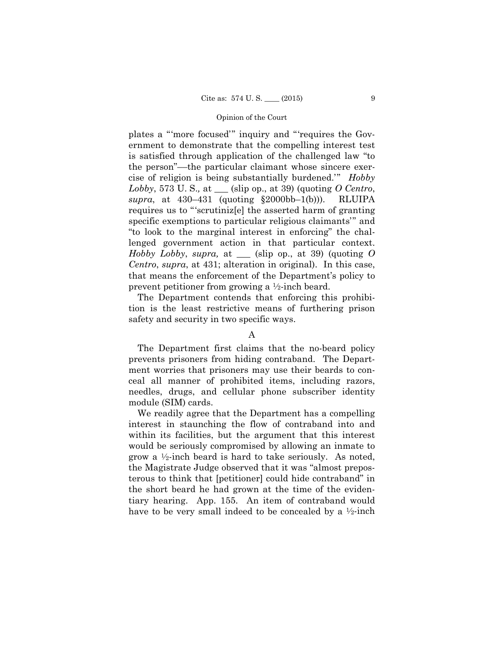plates a "'more focused'" inquiry and "'requires the Government to demonstrate that the compelling interest test is satisfied through application of the challenged law "to the person"––the particular claimant whose sincere exercise of religion is being substantially burdened.'" *Hobby Lobby*, 573 U. S.*,* at \_\_\_ (slip op., at 39) (quoting *O Centro*, *supra*, at 430–431 (quoting §2000bb–1(b))). RLUIPA requires us to "'scrutiniz[e] the asserted harm of granting specific exemptions to particular religious claimants'" and "to look to the marginal interest in enforcing" the challenged government action in that particular context. *Hobby Lobby*, *supra,* at \_\_\_ (slip op., at 39) (quoting *O Centro*, *supra*, at 431; alteration in original). In this case, that means the enforcement of the Department's policy to prevent petitioner from growing a  $\frac{1}{2}$ -inch beard.

The Department contends that enforcing this prohibition is the least restrictive means of furthering prison safety and security in two specific ways.

## A

The Department first claims that the no-beard policy prevents prisoners from hiding contraband. The Department worries that prisoners may use their beards to conceal all manner of prohibited items, including razors, needles, drugs, and cellular phone subscriber identity module (SIM) cards.

We readily agree that the Department has a compelling interest in staunching the flow of contraband into and within its facilities, but the argument that this interest would be seriously compromised by allowing an inmate to grow a  $\frac{1}{2}$ -inch beard is hard to take seriously. As noted, the Magistrate Judge observed that it was "almost preposterous to think that [petitioner] could hide contraband" in the short beard he had grown at the time of the evidentiary hearing. App. 155. An item of contraband would have to be very small indeed to be concealed by a  $\frac{1}{2}$ -inch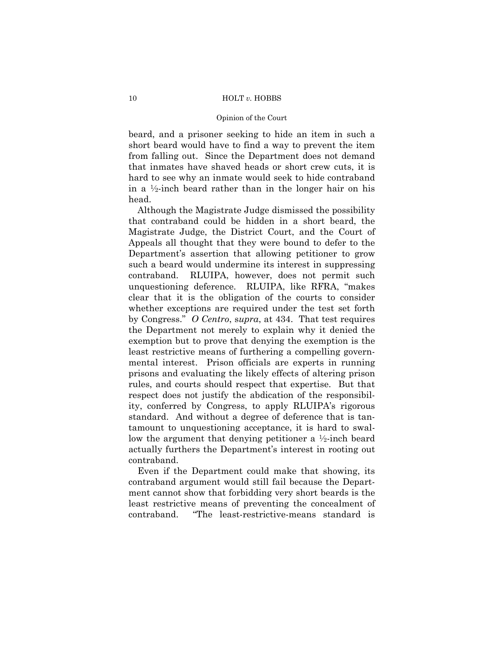### Opinion of the Court

beard, and a prisoner seeking to hide an item in such a short beard would have to find a way to prevent the item from falling out. Since the Department does not demand that inmates have shaved heads or short crew cuts, it is hard to see why an inmate would seek to hide contraband in a  $\frac{1}{2}$ -inch beard rather than in the longer hair on his head.

Although the Magistrate Judge dismissed the possibility that contraband could be hidden in a short beard, the Magistrate Judge, the District Court, and the Court of Appeals all thought that they were bound to defer to the Department's assertion that allowing petitioner to grow such a beard would undermine its interest in suppressing contraband. RLUIPA, however, does not permit such unquestioning deference. RLUIPA, like RFRA, "makes clear that it is the obligation of the courts to consider whether exceptions are required under the test set forth by Congress." *O Centro*, s*upra*, at 434. That test requires the Department not merely to explain why it denied the exemption but to prove that denying the exemption is the least restrictive means of furthering a compelling governmental interest. Prison officials are experts in running prisons and evaluating the likely effects of altering prison rules, and courts should respect that expertise. But that respect does not justify the abdication of the responsibility, conferred by Congress, to apply RLUIPA's rigorous standard. And without a degree of deference that is tantamount to unquestioning acceptance, it is hard to swallow the argument that denying petitioner a  $\frac{1}{2}$ -inch beard actually furthers the Department's interest in rooting out contraband.

Even if the Department could make that showing, its contraband argument would still fail because the Department cannot show that forbidding very short beards is the least restrictive means of preventing the concealment of contraband. "The least-restrictive-means standard is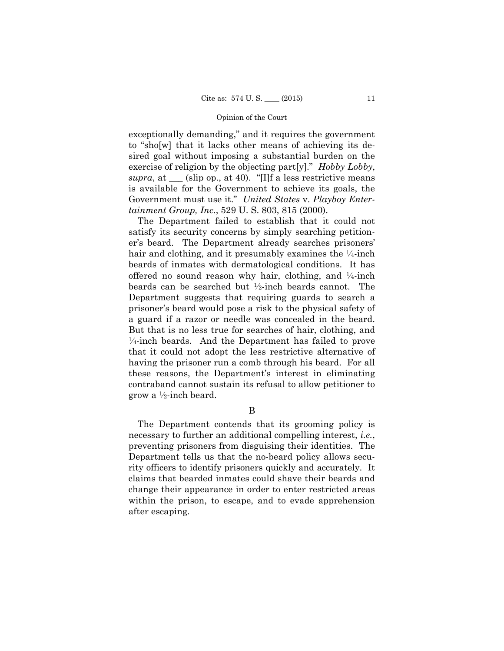exceptionally demanding," and it requires the government to "sho[w] that it lacks other means of achieving its desired goal without imposing a substantial burden on the exercise of religion by the objecting part[y]." *Hobby Lobby*, *supra*, at \_\_\_ (slip op., at 40). "[I]f a less restrictive means is available for the Government to achieve its goals, the Government must use it." *United States* v. *Playboy Entertainment Group, Inc.*, 529 U. S. 803, 815 (2000).

The Department failed to establish that it could not satisfy its security concerns by simply searching petitioner's beard. The Department already searches prisoners' hair and clothing, and it presumably examines the  $\frac{1}{4}$ -inch beards of inmates with dermatological conditions. It has offered no sound reason why hair, clothing, and  $\frac{1}{4}$ -inch beards can be searched but 1⁄2-inch beards cannot. The Department suggests that requiring guards to search a prisoner's beard would pose a risk to the physical safety of a guard if a razor or needle was concealed in the beard. But that is no less true for searches of hair, clothing, and  $\frac{1}{4}$ -inch beards. And the Department has failed to prove that it could not adopt the less restrictive alternative of having the prisoner run a comb through his beard. For all these reasons, the Department's interest in eliminating contraband cannot sustain its refusal to allow petitioner to grow a  $\frac{1}{2}$ -inch beard.

B

The Department contends that its grooming policy is necessary to further an additional compelling interest, *i.e.*, preventing prisoners from disguising their identities. The Department tells us that the no-beard policy allows security officers to identify prisoners quickly and accurately. It claims that bearded inmates could shave their beards and change their appearance in order to enter restricted areas within the prison, to escape, and to evade apprehension after escaping.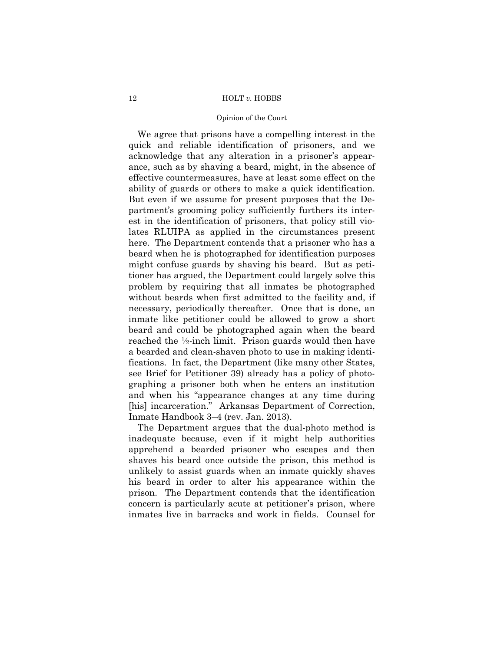### Opinion of the Court

 ability of guards or others to make a quick identification. We agree that prisons have a compelling interest in the quick and reliable identification of prisoners, and we acknowledge that any alteration in a prisoner's appearance, such as by shaving a beard, might, in the absence of effective countermeasures, have at least some effect on the But even if we assume for present purposes that the Department's grooming policy sufficiently furthers its interest in the identification of prisoners, that policy still violates RLUIPA as applied in the circumstances present here. The Department contends that a prisoner who has a beard when he is photographed for identification purposes might confuse guards by shaving his beard. But as petitioner has argued, the Department could largely solve this problem by requiring that all inmates be photographed without beards when first admitted to the facility and, if necessary, periodically thereafter. Once that is done, an inmate like petitioner could be allowed to grow a short beard and could be photographed again when the beard reached the  $\frac{1}{2}$ -inch limit. Prison guards would then have a bearded and clean-shaven photo to use in making identifications. In fact, the Department (like many other States, see Brief for Petitioner 39) already has a policy of photographing a prisoner both when he enters an institution and when his "appearance changes at any time during [his] incarceration." Arkansas Department of Correction, Inmate Handbook 3–4 (rev. Jan. 2013).

The Department argues that the dual-photo method is inadequate because, even if it might help authorities apprehend a bearded prisoner who escapes and then shaves his beard once outside the prison, this method is unlikely to assist guards when an inmate quickly shaves his beard in order to alter his appearance within the prison. The Department contends that the identification concern is particularly acute at petitioner's prison, where inmates live in barracks and work in fields. Counsel for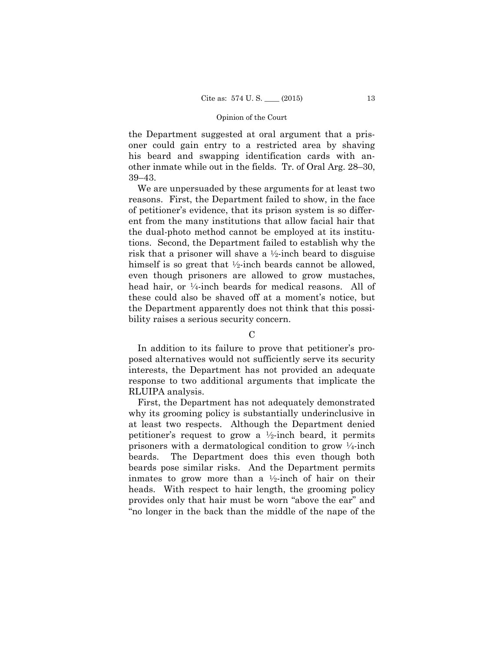the Department suggested at oral argument that a prisoner could gain entry to a restricted area by shaving his beard and swapping identification cards with another inmate while out in the fields. Tr. of Oral Arg. 28–30, 39–43.

We are unpersuaded by these arguments for at least two reasons. First, the Department failed to show, in the face of petitioner's evidence, that its prison system is so different from the many institutions that allow facial hair that the dual-photo method cannot be employed at its institutions. Second, the Department failed to establish why the risk that a prisoner will shave a  $\frac{1}{2}$ -inch beard to disguise himself is so great that  $\frac{1}{2}$ -inch beards cannot be allowed, even though prisoners are allowed to grow mustaches, head hair, or  $\frac{1}{4}$ -inch beards for medical reasons. All of these could also be shaved off at a moment's notice, but the Department apparently does not think that this possibility raises a serious security concern.

### $\mathcal{C}$

In addition to its failure to prove that petitioner's proposed alternatives would not sufficiently serve its security interests, the Department has not provided an adequate response to two additional arguments that implicate the RLUIPA analysis.

First, the Department has not adequately demonstrated why its grooming policy is substantially underinclusive in at least two respects. Although the Department denied petitioner's request to grow a  $\frac{1}{2}$ -inch beard, it permits prisoners with a dermatological condition to grow 1⁄4-inch beards. The Department does this even though both beards pose similar risks. And the Department permits inmates to grow more than a  $\frac{1}{2}$ -inch of hair on their heads. With respect to hair length, the grooming policy provides only that hair must be worn "above the ear" and "no longer in the back than the middle of the nape of the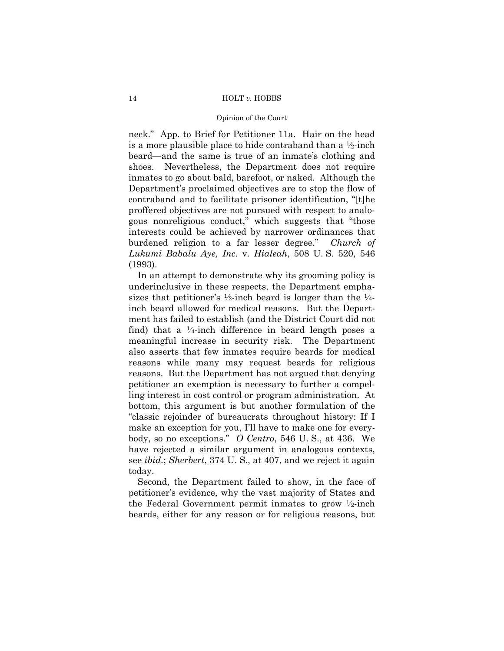### Opinion of the Court

neck." App. to Brief for Petitioner 11a. Hair on the head is a more plausible place to hide contraband than a  $\frac{1}{2}$ -inch beard—and the same is true of an inmate's clothing and shoes. Nevertheless, the Department does not require inmates to go about bald, barefoot, or naked. Although the Department's proclaimed objectives are to stop the flow of contraband and to facilitate prisoner identification, "[t]he proffered objectives are not pursued with respect to analogous nonreligious conduct," which suggests that "those interests could be achieved by narrower ordinances that burdened religion to a far lesser degree." *Church of Lukumi Babalu Aye, Inc.* v. *Hialeah*, 508 U. S. 520, 546 (1993).

In an attempt to demonstrate why its grooming policy is underinclusive in these respects, the Department emphasizes that petitioner's  $\frac{1}{2}$ -inch beard is longer than the  $\frac{1}{4}$ inch beard allowed for medical reasons. But the Department has failed to establish (and the District Court did not find) that a  $\frac{1}{4}$ -inch difference in beard length poses a meaningful increase in security risk. The Department also asserts that few inmates require beards for medical reasons while many may request beards for religious reasons. But the Department has not argued that denying petitioner an exemption is necessary to further a compelling interest in cost control or program administration. At bottom, this argument is but another formulation of the "classic rejoinder of bureaucrats throughout history: If I make an exception for you, I'll have to make one for everybody, so no exceptions." *O Centro*, 546 U. S., at 436. We have rejected a similar argument in analogous contexts, see *ibid.*; *Sherbert*, 374 U. S., at 407, and we reject it again today.

Second, the Department failed to show, in the face of petitioner's evidence, why the vast majority of States and the Federal Government permit inmates to grow  $\frac{1}{2}$ -inch beards, either for any reason or for religious reasons, but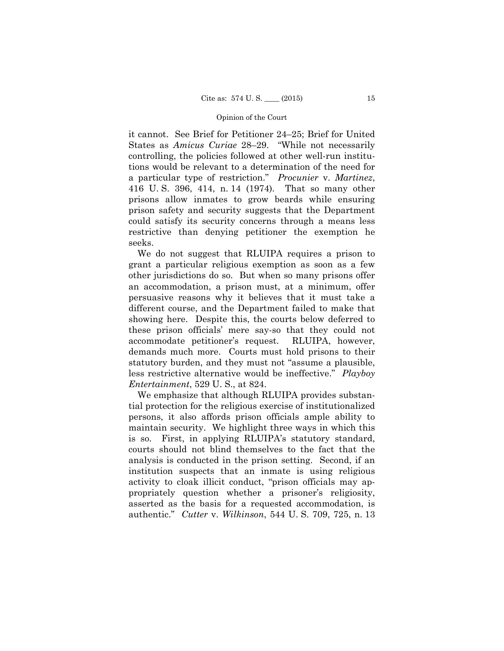it cannot. See Brief for Petitioner 24–25; Brief for United States as *Amicus Curiae* 28–29. "While not necessarily controlling, the policies followed at other well-run institutions would be relevant to a determination of the need for a particular type of restriction." *Procunier* v. *Martinez*, 416 U. S. 396, 414, n. 14 (1974). That so many other prisons allow inmates to grow beards while ensuring prison safety and security suggests that the Department could satisfy its security concerns through a means less restrictive than denying petitioner the exemption he seeks.

We do not suggest that RLUIPA requires a prison to grant a particular religious exemption as soon as a few other jurisdictions do so. But when so many prisons offer an accommodation, a prison must, at a minimum, offer persuasive reasons why it believes that it must take a different course, and the Department failed to make that showing here. Despite this, the courts below deferred to these prison officials' mere say-so that they could not accommodate petitioner's request. RLUIPA, however, demands much more. Courts must hold prisons to their statutory burden, and they must not "assume a plausible, less restrictive alternative would be ineffective." *Playboy Entertainment*, 529 U. S., at 824.

We emphasize that although RLUIPA provides substantial protection for the religious exercise of institutionalized persons, it also affords prison officials ample ability to maintain security. We highlight three ways in which this is so. First, in applying RLUIPA's statutory standard, courts should not blind themselves to the fact that the analysis is conducted in the prison setting. Second, if an institution suspects that an inmate is using religious activity to cloak illicit conduct, "prison officials may appropriately question whether a prisoner's religiosity, asserted as the basis for a requested accommodation, is authentic." *Cutter* v. *Wilkinson*, 544 U. S. 709, 725, n. 13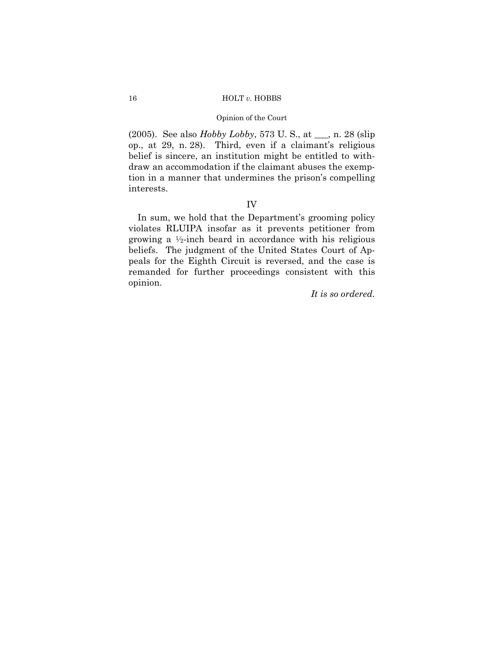### Opinion of the Court

(2005). See also *Hobby Lobby*, 573 U. S., at \_\_\_, n. 28 (slip op., at 29, n. 28). Third, even if a claimant's religious belief is sincere, an institution might be entitled to withdraw an accommodation if the claimant abuses the exemption in a manner that undermines the prison's compelling interests.

## IV

In sum, we hold that the Department's grooming policy violates RLUIPA insofar as it prevents petitioner from growing a 1⁄2-inch beard in accordance with his religious beliefs. The judgment of the United States Court of Appeals for the Eighth Circuit is reversed, and the case is remanded for further proceedings consistent with this opinion.

*It is so ordered.*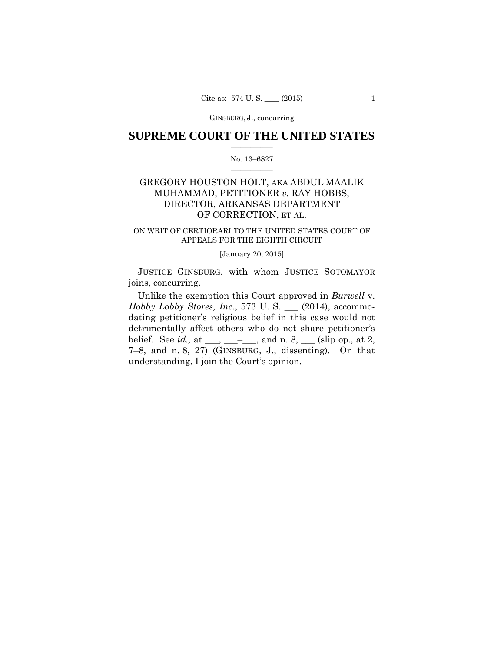GINSBURG, J., concurring

### $\frac{1}{2}$  ,  $\frac{1}{2}$  ,  $\frac{1}{2}$  ,  $\frac{1}{2}$  ,  $\frac{1}{2}$  ,  $\frac{1}{2}$  ,  $\frac{1}{2}$ **SUPREME COURT OF THE UNITED STATES**

### $\frac{1}{2}$  ,  $\frac{1}{2}$  ,  $\frac{1}{2}$  ,  $\frac{1}{2}$  ,  $\frac{1}{2}$  ,  $\frac{1}{2}$ No. 13–6827

# GREGORY HOUSTON HOLT, AKA ABDUL MAALIK MUHAMMAD, PETITIONER *v.* RAY HOBBS, DIRECTOR, ARKANSAS DEPARTMENT OF CORRECTION, ET AL.

### ON WRIT OF CERTIORARI TO THE UNITED STATES COURT OF APPEALS FOR THE EIGHTH CIRCUIT

### [January 20, 2015]

 JUSTICE GINSBURG, with whom JUSTICE SOTOMAYOR joins, concurring.

Unlike the exemption this Court approved in *Burwell* v. *Hobby Lobby Stores, Inc.*, 573 U. S. \_\_\_ (2014), accommodating petitioner's religious belief in this case would not detrimentally affect others who do not share petitioner's belief. See *id.*, at  $\underline{\hspace{1cm}}$ ,  $\underline{\hspace{1cm}}$ , and n. 8,  $\underline{\hspace{1cm}}$  (slip op., at 2, 7–8, and n. 8, 27) (GINSBURG, J., dissenting). On that understanding, I join the Court's opinion.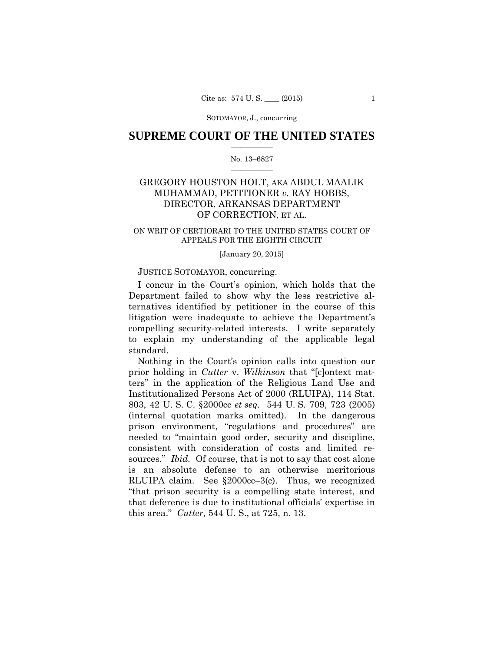SOTOMAYOR, J., concurring

### $\frac{1}{2}$  ,  $\frac{1}{2}$  ,  $\frac{1}{2}$  ,  $\frac{1}{2}$  ,  $\frac{1}{2}$  ,  $\frac{1}{2}$  ,  $\frac{1}{2}$ **SUPREME COURT OF THE UNITED STATES**

### $\frac{1}{2}$  ,  $\frac{1}{2}$  ,  $\frac{1}{2}$  ,  $\frac{1}{2}$  ,  $\frac{1}{2}$  ,  $\frac{1}{2}$ No. 13–6827

# GREGORY HOUSTON HOLT, AKA ABDUL MAALIK MUHAMMAD, PETITIONER *v.* RAY HOBBS, DIRECTOR, ARKANSAS DEPARTMENT OF CORRECTION, ET AL.

### ON WRIT OF CERTIORARI TO THE UNITED STATES COURT OF APPEALS FOR THE EIGHTH CIRCUIT

### [January 20, 2015]

### JUSTICE SOTOMAYOR, concurring.

I concur in the Court's opinion, which holds that the Department failed to show why the less restrictive alternatives identified by petitioner in the course of this litigation were inadequate to achieve the Department's compelling security-related interests. I write separately to explain my understanding of the applicable legal standard.

Nothing in the Court's opinion calls into question our prior holding in *Cutter* v. *Wilkinson* that "[c]ontext matters" in the application of the Religious Land Use and Institutionalized Persons Act of 2000 (RLUIPA), 114 Stat. 803, 42 U. S. C. §2000cc *et seq.* 544 U. S. 709, 723 (2005) (internal quotation marks omitted). In the dangerous prison environment, "regulations and procedures" are needed to "maintain good order, security and discipline, consistent with consideration of costs and limited resources." *Ibid.* Of course, that is not to say that cost alone is an absolute defense to an otherwise meritorious RLUIPA claim. See §2000cc–3(c). Thus, we recognized "that prison security is a compelling state interest, and that deference is due to institutional officials' expertise in this area." *Cutter,* 544 U. S., at 725, n. 13.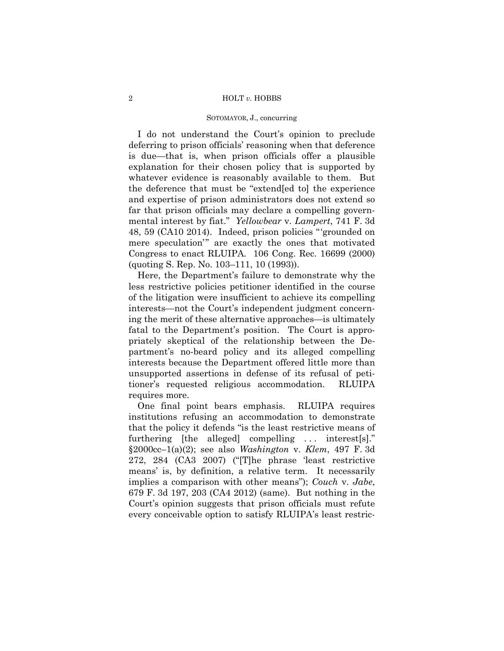### SOTOMAYOR, J., concurring

 mental interest by fiat." *Yellowbear* v. *Lampert*, 741 F. 3d I do not understand the Court's opinion to preclude deferring to prison officials' reasoning when that deference is due—that is, when prison officials offer a plausible explanation for their chosen policy that is supported by whatever evidence is reasonably available to them. But the deference that must be "extend[ed to] the experience and expertise of prison administrators does not extend so far that prison officials may declare a compelling govern-48, 59 (CA10 2014). Indeed, prison policies "'grounded on mere speculation'" are exactly the ones that motivated Congress to enact RLUIPA*.* 106 Cong. Rec. 16699 (2000) (quoting S. Rep. No. 103–111, 10 (1993)).

Here, the Department's failure to demonstrate why the less restrictive policies petitioner identified in the course of the litigation were insufficient to achieve its compelling interests—not the Court's independent judgment concerning the merit of these alternative approaches—is ultimately fatal to the Department's position. The Court is appropriately skeptical of the relationship between the Department's no-beard policy and its alleged compelling interests because the Department offered little more than unsupported assertions in defense of its refusal of petitioner's requested religious accommodation. RLUIPA requires more.

One final point bears emphasis. RLUIPA requires institutions refusing an accommodation to demonstrate that the policy it defends "is the least restrictive means of furthering [the alleged] compelling ... interest[s]." §2000cc–1(a)(2); see also *Washington* v. *Klem*, 497 F. 3d 272, 284 (CA3 2007) ("[T]he phrase 'least restrictive means' is, by definition, a relative term. It necessarily implies a comparison with other means"); *Couch* v. *Jabe*, 679 F. 3d 197, 203 (CA4 2012) (same). But nothing in the Court's opinion suggests that prison officials must refute every conceivable option to satisfy RLUIPA's least restric-